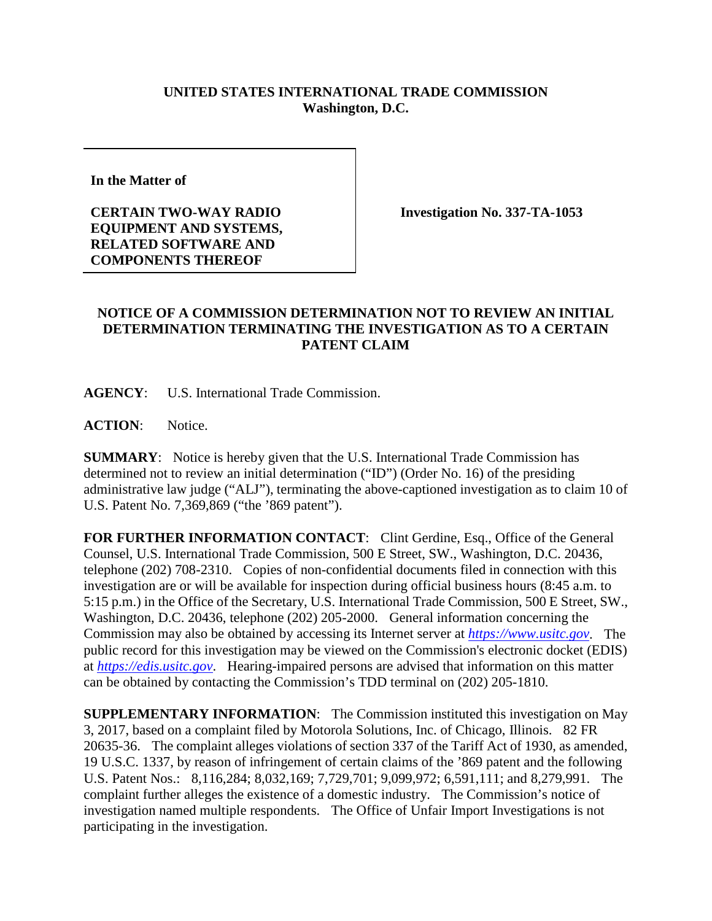## **UNITED STATES INTERNATIONAL TRADE COMMISSION Washington, D.C.**

**In the Matter of** 

**CERTAIN TWO-WAY RADIO EQUIPMENT AND SYSTEMS, RELATED SOFTWARE AND COMPONENTS THEREOF**

**Investigation No. 337-TA-1053**

## **NOTICE OF A COMMISSION DETERMINATION NOT TO REVIEW AN INITIAL DETERMINATION TERMINATING THE INVESTIGATION AS TO A CERTAIN PATENT CLAIM**

**AGENCY**: U.S. International Trade Commission.

**ACTION**: Notice.

**SUMMARY**: Notice is hereby given that the U.S. International Trade Commission has determined not to review an initial determination ("ID") (Order No. 16) of the presiding administrative law judge ("ALJ"), terminating the above-captioned investigation as to claim 10 of U.S. Patent No. 7,369,869 ("the '869 patent").

FOR FURTHER INFORMATION CONTACT: Clint Gerdine, Esq., Office of the General Counsel, U.S. International Trade Commission, 500 E Street, SW., Washington, D.C. 20436, telephone (202) 708-2310. Copies of non-confidential documents filed in connection with this investigation are or will be available for inspection during official business hours (8:45 a.m. to 5:15 p.m.) in the Office of the Secretary, U.S. International Trade Commission, 500 E Street, SW., Washington, D.C. 20436, telephone (202) 205-2000. General information concerning the Commission may also be obtained by accessing its Internet server at *[https://www.usitc.gov](https://www.usitc.gov/)*. The public record for this investigation may be viewed on the Commission's electronic docket (EDIS) at *[https://edis.usitc.gov](https://edis.usitc.gov/)*. Hearing-impaired persons are advised that information on this matter can be obtained by contacting the Commission's TDD terminal on (202) 205-1810.

**SUPPLEMENTARY INFORMATION**: The Commission instituted this investigation on May 3, 2017, based on a complaint filed by Motorola Solutions, Inc. of Chicago, Illinois. 82 FR 20635-36. The complaint alleges violations of section 337 of the Tariff Act of 1930, as amended, 19 U.S.C. 1337, by reason of infringement of certain claims of the '869 patent and the following U.S. Patent Nos.: 8,116,284; 8,032,169; 7,729,701; 9,099,972; 6,591,111; and 8,279,991. The complaint further alleges the existence of a domestic industry. The Commission's notice of investigation named multiple respondents. The Office of Unfair Import Investigations is not participating in the investigation.